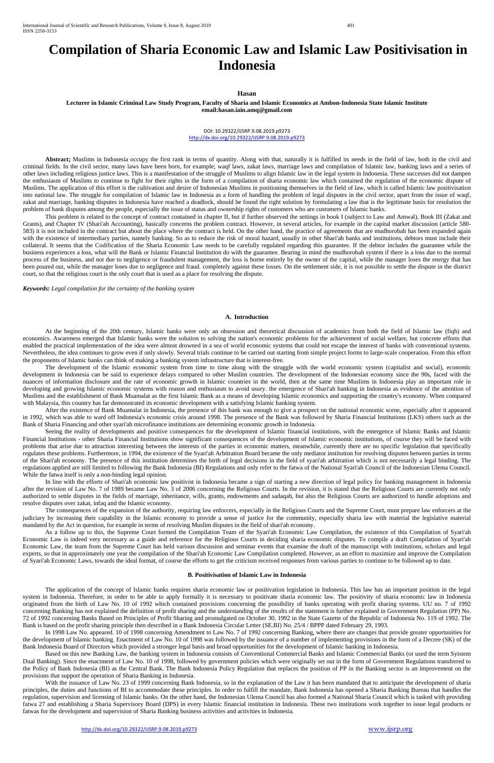# **Compilation of Sharia Economic Law and Islamic Law Positivisation in Indonesia**

**Hasan** 

**Lecturer in Islamic Criminal Law Study Program, Faculty of Sharia and Islamic Economics at Ambon-Indonesia State Islamic Institute email:hasan.iain.amq@gmail.com**

> DOI: 10.29322/IJSRP.9.08.2019.p9273 <http://dx.doi.org/10.29322/IJSRP.9.08.2019.p9273>

Abstract; Muslims in Indonesia occupy the first rank in terms of quantity. Along with that, naturally it is fulfilled its needs in the field of law, both in the civil and criminal fields. In the civil sector, many laws have been born, for example; waqf laws, zakat laws, marriage laws and compilation of Islamic law, banking laws and a series of other laws including religious justice laws. This is a manifestation of the struggle of Muslims to align Islamic law in the legal system in Indonesia. These successes did not dampen the enthusiasm of Muslims to continue to fight for their rights in the form of a compilation of sharia economic law which contained the regulation of the economic dispute of Muslims. The application of this effort is the cultivation and desire of Indonesian Muslims in positioning themselves in the field of law, which is called Islamic law positivisation into national law. The struggle for compilation of Islamic law in Indonesia as a form of handling the problem of legal disputes in the civil sector, apart from the issue of waqf, zakat and marriage, banking disputes in Indonesia have reached a deadlock, should be found the right solution by formulating a law that is the legitimate basis for resolution the problem of bank disputes among the people, especially the issue of status and ownership rights of customers who are customers of Islamic banks.

This problem is related to the concept of contract contained in chapter II, but if further observed the settings in book I (subject to Law and Amwal), Book III (Zakat and Grants), and Chapter IV (Shari'ah Accounting), basically concerns the problem contract. However, in several articles, for example in the capital market discussion (article 580- 583) it is not included in the contract but about the place where the contract is held. On the other hand, the practice of agreements that are mudhorobah has been expanded again with the existence of intermediary parties, namely banking. So as to reduce the risk of moral hazard, usually in other Shari'ah banks and institutions, debtors must include their collateral. It seems that the Codification of the Sharia Economic Law needs to be carefully regulated regarding this guarantee. If the debtor includes the guarantee while the business experiences a loss, what will the Bank or Islamic Financial Institution do with the guarantee. Bearing in mind the mudhorobah system if there is a loss due to the normal process of the business, and not due to negligence or fraudulent management, the loss is borne entirely by the owner of the capital, while the manager loses the energy that has been poured out, while the manager loses due to negligence and fraud. completely against these losses. On the settlement side, it is not possible to settle the dispute in the district court, so that the religious court is the only court that is used as a place for resolving the dispute.

Seeing the reality of developments and positive consequences for the development of Islamic financial institutions, with the emergence of Islamic Banks and Islamic Financial Institutions - other Sharia Financial Institutions show significant consequences of the development of Islamic economic institutions, of course they will be faced with problems that arise due to attraction interesting between the interests of the parties in economic matters, meanwhile, currently there are no specific legislation that specifically regulates these problems. Furthermore, in 1994, the existence of the Syari'ah Arbitration Board became the only mediator institution for resolving disputes between parties in terms of the Shari'ah economy. The presence of this institution determines the birth of legal decisions in the field of syari'ah arbitration which is not necessarily a legal binding. The regulations applied are still limited to following the Bank Indonesia (BI) Regulations and only refer to the fatwa of the National Syari'ah Council of the Indonesian Ulema Council. While the fatwa itself is only a non-binding legal opinion.

*Keywords: Legal compilation for the certainty of the banking system*

# **A. Introduction**

At the beginning of the 20th century, Islamic banks were only an obsession and theoretical discussion of academics from both the field of Islamic law (fiqh) and economics. Awareness emerged that Islamic banks were the solution to solving the nation's economic problems for the achievement of social welfare, but concrete efforts that enabled the practical implementation of the idea were almost drowned in a sea of world economic systems that could not escape the interest of banks with conventional systems. Nevertheless, the idea continues to grow even if only slowly. Several trials continue to be carried out starting from simple project forms to large-scale cooperation. From this effort the proponents of Islamic banks can think of making a banking system infrastructure that is interest-free.

The development of the Islamic economic system from time to time along with the struggle with the world economic system (capitalist and social), economic development in Indonesia can be said to experience delays compared to other Muslim countries. The development of the Indonesian economy since the 90s, faced with the nuances of information disclosure and the rate of economic growth in Islamic countries in the world, then at the same time Muslims in Indonesia play an important role in developing and growing Islamic economic systems with reason and enthusiasm to avoid usury. the emergence of Shari'ah banking in Indonesia as evidence of the attention of Muslims and the establishment of Bank Muamalat as the first Islamic Bank as a means of developing Islamic economics and supporting the country's economy. When compared with Malaysia, this country has far demonstrated its economic development with a satisfying Islamic banking system.

After the existence of Bank Muamalat in Indonesia, the presence of this bank was enough to give a prospect on the national economic scene, especially after it appeared in 1992, which was able to ward off Indonesia's economic crisis around 1998. The presence of the Bank was followed by Sharia Financial Institutions (LKS) others such as the Bank of Sharia Financing and other syari'ah microfinance institutions are determining economic growth in Indonesia.

With the issuance of Law No. 23 of 1999 concerning Bank Indonesia, so in the explanation of the Law it has been mandated that to anticipate the development of sharia principles, the duties and functions of BI to accommodate these principles. In order to fulfill the mandate, Bank Indonesia has opened a Sharia Banking Bureau that handles the regulation, supervision and licensing of Islamic banks. On the other hand, the Indonesian Ulema Council has also formed a National Sharia Council which is tasked with providing fatwa 27 and establishing a Sharia Supervisory Board (DPS) in every Islamic financial institution in Indonesia. These two institutions work together to issue legal products or fatwas for the development and supervision of Sharia Banking business activities and activities in Indonesia.

In line with the efforts of Shari'ah economic law positivist in Indonesia became a sign of starting a new direction of legal policy for banking management in Indonesia after the revision of Law No. 7 of 1989 became Law No. 3 of 2006 concerning the Religious Courts. In the revision, it is stated that the Religious Courts are currently not only authorized to settle disputes in the fields of marriage, inheritance, wills, grants, endowments and sadaqah, but also the Religious Courts are authorized to handle adoptions and resolve disputes over zakat, infaq and the Islamic economy.

The consequences of the expansion of the authority, requiring law enforcers, especially in the Religious Courts and the Supreme Court, must prepare law enforcers at the judiciary by increasing their capability in the Islamic economy to provide a sense of justice for the community, especially sharia law with material the legislative material mandated by the Act in question, for example in terms of resolving Muslim disputes in the field of shari'ah economy.

As a follow up to this, the Supreme Court formed the Compilation Team of the Syari'ah Economic Law Compilation, the existence of this Compilation of Syari'ah Economic Law is indeed very necessary as a guide and reference for the Religious Courts in deciding sharia economic disputes. To compile a draft Compilation of Syari'ah Economic Law, the team from the Supreme Court has held various discussion and seminar events that examine the draft of the manuscript with institutions, scholars and legal experts, so that in approximately one year the compilation of the Shari'ah Economic Law Compilation completed. However, as an effort to maximize and improve the Compilation

of Syari'ah Economic Laws, towards the ideal format, of course the efforts to get the criticism received responses from various parties to continue to be followed up to date.

#### **B. Positivisation of Islamic Law in Indonesia**

The application of the concept of Islamic banks requires sharia economic law or positivation legislation in Indonesia. This law has an important position in the legal system in Indonesia. Therefore, in order to be able to apply formally it is necessary to positivate sharia economic law. The positivity of sharia economic law in Indonesia originated from the birth of Law No. 10 of 1992 which contained provisions concerning the possibility of banks operating with profit sharing systems. UU no. 7 of 1992 concerning Banking has not explained the definition of profit sharing and the understanding of the results of the statement is further explained in Government Regulation (PP) No. 72 of 1992 concerning Banks Based on Principles of Profit Sharing and promulgated on October 30, 1992 in the State Gazette of the Republic of Indonesia No. 119 of 1992. The Bank is based on the profit sharing principle then described in a Bank Indonesia Circular Letter (SE.BI) No. 25/4 / BPPP dated February 29, 1993.

In 1998 Law No. appeared. 10 of 1998 concerning Amendment to Law No. 7 of 1992 concerning Banking, where there are changes that provide greater opportunities for the development of Islamic banking. Enactment of Law No. 10 of 1998 was followed by the issuance of a number of implementing provisions in the form of a Decree (SK) of the Bank Indonesia Board of Directors which provided a stronger legal basis and broad opportunities for the development of Islamic banking in Indonesia.

Based on this new Banking Law, the banking system in Indonesia consists of Conventional Commercial Banks and Islamic Commercial Banks (or used the term Syistem Dual Banking). Since the enactment of Law No. 10 of 1998, followed by government policies which were originally set out in the form of Government Regulations transferred to the Policy of Bank Indonesia (BI) as the Central Bank. The Bank Indonesia Policy Regulation that replaces the position of PP in the Banking sector is an improvement on the provisions that support the operation of Sharia Banking in Indonesia.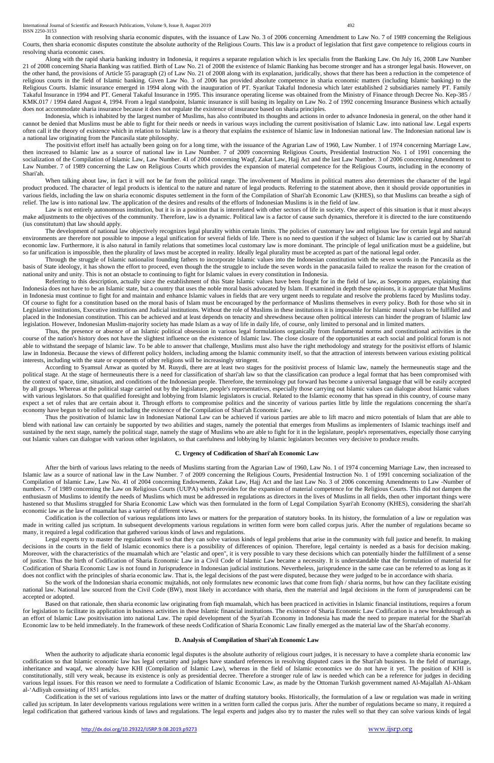International Journal of Scientific and Research Publications, Volume 9, Issue 8, August 2019 492 ISSN 2250-3153

In connection with resolving sharia economic disputes, with the issuance of Law No. 3 of 2006 concerning Amendment to Law No. 7 of 1989 concerning the Religious Courts, then sharia economic disputes constitute the absolute authority of the Religious Courts. This law is a product of legislation that first gave competence to religious courts in resolving sharia economic cases.

Along with the rapid sharia banking industry in Indonesia, it requires a separate regulation which is lex specialis from the Banking Law. On July 16, 2008 Law Number 21 of 2008 concerning Sharia Banking was ratified. Birth of Law No. 21 of 2008 the existence of Islamic Banking has become stronger and has a stronger legal basis. However, on the other hand, the provisions of Article 55 paragraph (2) of Law No. 21 of 2008 along with its explanation, juridically, shows that there has been a reduction in the competence of religious courts in the field of Islamic banking. Given Law No. 3 of 2006 has provided absolute competence in sharia economic matters (including Islamic banking) to the Religious Courts. Islamic insurance emerged in 1994 along with the inauguration of PT. Syarikat Takaful Indonesia which later established 2 subsidiaries namely PT. Family Takaful Insurance in 1994 and PT. General Takaful Insurance in 1995. This insurance operating license was obtained from the Ministry of Finance through Decree No. Kep-385 / KMK.017 / 1994 dated August 4, 1994. From a legal standpoint, Islamic insurance is still basing its legality on Law No. 2 of 1992 concerning Insurance Business which actually does not accommodate sharia insurance because it does not regulate the existence of insurance based on sharia principles.

When talking about law, in fact it will not be far from the political range. The involvement of Muslims in political matters also determines the character of the legal product produced. The character of legal products is identical to the nature and nature of legal products. Referring to the statement above, then it should provide opportunities in various fields, including the law on sharia economic disputes settlement in the form of the Compilation of Shari'ah Economic Law (KHES), so that Muslims can breathe a sigh of relief. The law is into national law. The application of the desires and results of the efforts of Indonesian Muslims is in the field of law.

Indonesia, which is inhabited by the largest number of Muslims, has also contributed its thoughts and actions in order to advance Indonesia in general, on the other hand it cannot be denied that Muslims must be able to fight for their needs or needs in various ways including the current positivisation of Islamic Law. into national law. Legal experts often call it the theory of existence which in relation to Islamic law is a theory that explains the existence of Islamic law in Indonesian national law. The Indonesian national law is a national law originating from the Pancasila state philosophy.

The positivist effort itself has actually been going on for a long time, with the issuance of the Agrarian Law of 1960, Law Number. 1 of 1974 concerning Marriage Law, then increased to Islamic law as a source of national law in Law Number. 7 of 2009 concerning Religious Courts, Presidential Instruction No. 1 of 1991 concerning the socialization of the Compilation of Islamic Law, Law Number. 41 of 2004 concerning Waqf, Zakat Law, Hajj Act and the last Law Number. 3 of 2006 concerning Amendment to Law Number. 7 of 1989 concerning the Law on Religious Courts which provides the expansion of material competence for the Religious Courts, including in the economy of Shari'ah.

Referring to this description, actually since the establishment of this State Islamic values have been fought for in the field of law, as Soepomo argues, explaining that Indonesia does not have to be an Islamic state, but a country that uses the noble moral basis advocated by Islam. If examined in depth these opinions, it is appropriate that Muslims in Indonesia must continue to fight for and maintain and enhance Islamic values in fields that are very urgent needs to regulate and resolve the problems faced by Muslims today. Of course to fight for a constitution based on the moral basis of Islam must be encouraged by the performance of Muslims themselves in every policy. Both for those who sit in Legislative institutions, Executive institutions and Judicial institutions. Without the role of Muslims in these institutions it is impossible for Islamic moral values to be fulfilled and placed in the Indonesian constitution. This can be achieved and at least depends on tenacity and shrewdness because often political interests can hinder the program of Islamic law legislation. However, Indonesian Muslim-majority society has made Islam as a way of life in daily life, of course, only limited to personal and in limited matters.

Law is not entirely autonomous institution, but it is in a position that is interrelated with other sectors of life in society. One aspect of this situation is that it must always make adjustments to the objectives of the community. Therefore, law is a dynamic. Political law is a factor of cause such dynamics, therefore it is directed to the iure constituendo (ius constitutum) that law should apply.

The development of national law objectively recognizes legal plurality within certain limits. The policies of customary law and religious law for certain legal and natural environments are therefore not possible to impose a legal unification for several fields of life. There is no need to question if the subject of Islamic law is carried out by Shari'ah economic law. Furthermore, it is also natural in family relations that sometimes local customary law is more dominant. The principle of legal unification must be a guideline, but so far unification is impossible, then the plurality of laws must be accepted in reality. Ideally legal plurality must be accepted as part of the national legal order.

Through the struggle of Islamic nationalist founding fathers to incorporate Islamic values into the Indonesian constitution with the seven words in the Pancasila as the basis of State ideology, it has shown the effort to proceed, even though the the struggle to include the seven words in the panacasila failed to realize the reason for the creation of national unity and unity. This is not an obstacle to continuing to fight for Islamic values in every constitution in Indonesia.

Legal experts try to master the regulations well so that they can solve various kinds of legal problems that arise in the community with full justice and benefit. In making decisions in the courts in the field of Islamic economics there is a possibility of differences of opinion. Therefore, legal certainty is needed as a basis for decision making. Moreover, with the characteristics of the muamalah which are "elastic and open", it is very possible to vary these decisions which can potentially hinder the fulfillment of a sense of justice. Thus the birth of Codification of Sharia Economic Law in a Civil Code of Islamic Law became a necessity. It is understandable that the formulation of material for

Codification of Sharia Economic Law is not found in Jurisprudence in Indonesian judicial institutions. Nevertheless, jurisprudence in the same case can be referred to as long as it does not conflict with the principles of sharia economic law. That is, the legal decisions of the past were disputed, because they were judged to be in accordance with sharia.

So the work of the Indonesian sharia economic mujtahids, not only formulates new economic laws that come from fiqh / sharia norms, but how can they facilitate existing national law. National law sourced from the Civil Code (BW), most likely in accordance with sharia, then the material and legal decisions in the form of jurusprudensi can be accepted or adopted.

When the authority to adjudicate sharia economic legal disputes is the absolute authority of religious court judges, it is necessary to have a complete sharia economic law codification so that Islamic economic law has legal certainty and judges have standard references in resolving disputed cases in the Shari'ah business. In the field of marriage, inheritance and waqaf, we already have KHI (Compilation of Islamic Law), whereas in the field of Islamic economics we do not have it yet. The position of KHI is constitutionally, still very weak, because its existence is only as presidential decree. Therefore a stronger rule of law is needed which can be a reference for judges in deciding various legal issues. For this reason we need to formulate a Codification of Islamic Economic Law, as made by the Ottoman Turkish government named Al-Majallah Al-Ahkam al-ʻAdliyah consisting of 1851 articles.

Thus, the presence or absence of an Islamic political obsession in various legal formulations organically from fundamental norms and constitutional activities in the course of the nation's history does not have the slightest influence on the existence of Islamic law. The close closure of the opportunities at each social and political forum is not able to withstand the seepage of Islamic law. To be able to answer that challenge, Muslims must also have the right methodology and strategy for the positivist efforts of Islamic law in Indonesia. Because the views of different policy holders, including among the Islamic community itself, so that the attraction of interests between various existing political interests, including with the state or exponents of other religions will be increasingly stringent.

According to Syamsul Anwar as quoted by M. Rusydi, there are at least two stages for the positivist process of Islamic law, namely the hermeuneutis stage and the political stage. At the stage of hermeuneutis there is a need for classification of shari'ah law so that the classification can produce a legal format that has been compromised with the context of space, time, situation, and conditions of the Indonesian people. Therefore, the terminology put forward has become a universal language that will be easily accepted by all groups. Whereas at the political stage carried out by the legislature, people's representatives, especially those carrying out Islamic values can dialogue about Islamic values with various legislators. So that qualified foresight and lobbying from Islamic legislators is crucial. Related to the Islamic economy that has spread in this country, of course many expect a set of rules that are certain about it. Through efforts to compromise politics and the sincerity of various parties little by little the regulations concerning the shari'a economy have begun to be rolled out including the existence of the Compilation of Shari'ah Economic Law.

Thus the positivation of Islamic law in Indonesian National Law can be achieved if various parties are able to lift macro and micro potentials of Islam that are able to blend with national law can certainly be supported by two abilities and stages, namely the potential that emerges from Muslims as implementers of Islamic teachings itself and sustained by the next stage, namely the political stage, namely the stage of Muslims who are able to fight for it in the legislature, people's representatives, especially those carrying out Islamic values can dialogue with various other legislators, so that carefulness and lobbying by Islamic legislators becomes very decisive to produce results.

#### **C. Urgency of Codification of Shari'ah Economic Law**

After the birth of various laws relating to the needs of Muslims starting from the Agrarian Law of 1960, Law No. 1 of 1974 concerning Marriage Law, then increased to Islamic law as a source of national law in the Law Number. 7 of 2009 concerning the Religious Courts, Presidential Instruction No. 1 of 1991 concerning socialization of the Compilation of Islamic Law, Law No. 41 of 2004 concerning Endowments, Zakat Law, Hajj Act and the last Law No. 3 of 2006 concerning Amendments to Law -Number of numbers. 7 of 1989 concerning the Law on Religious Courts (UUPA) which provides for the expansion of material competence for the Religious Courts. This did not dampen the enthusiasm of Muslims to identify the needs of Muslims which must be addressed in regulations as directors in the lives of Muslims in all fields, then other important things were hastened so that Muslims struggled for Sharia Economic Law which was then formulated in the form of Legal Compilation Syari'ah Economy (KHES), considering the shari'ah economic law as the law of muamalat has a variety of different views.

Codification is the collection of various regulations into laws or matters for the preparation of statutory books. In its history, the formulation of a law or regulation was made in writing called jus scriptum. In subsequent developments various regulations in written form were born called corpus juris. After the number of regulations became so many, it required a legal codification that gathered various kinds of laws and regulations.

Based on that rationale, then sharia economic law originating from fiqh muamalah, which has been practiced in activities in Islamic financial institutions, requires a forum for legislation to facilitate its application in business activities in these Islamic financial institutions. The existence of Sharia Economic Law Codification is a new breakthrough as an effort of Islamic Law positivisation into national Law. The rapid development of the Syari'ah Economy in Indonesia has made the need to prepare material for the Shari'ah Economic law to be held immediately. In the framework of these needs Codification of Sharia Economic Law finally emerged as the material law of the Shari'ah economy.

# **D. Analysis of Compilation of Shari'ah Economic Law**

Codification is the set of various regulations into laws or the matter of drafting statutory books. Historically, the formulation of a law or regulation was made in writing called jus scriptum. In later developments various regulations were written in a written form called the corpus juris. After the number of regulations became so many, it required a legal codification that gathered various kinds of laws and regulations. The legal experts and judges also try to master the rules well so that they can solve various kinds of legal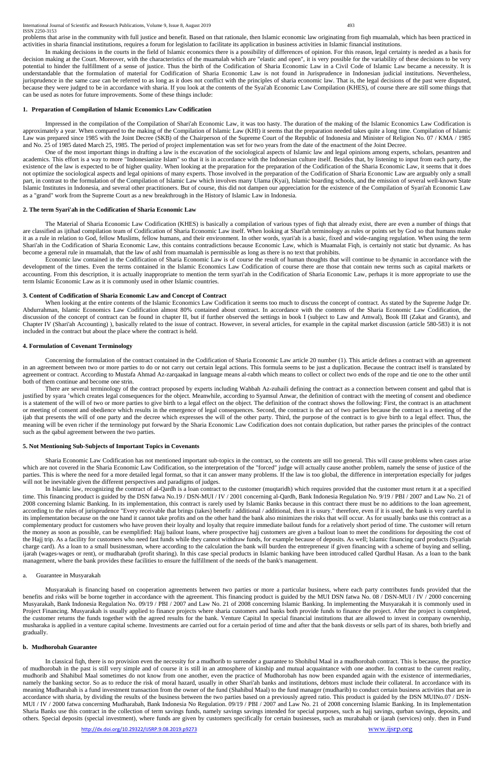<http://dx.doi.org/10.29322/IJSRP.9.08.2019.p9273> [www.ijsrp.org](http://ijsrp.org/)

problems that arise in the community with full justice and benefit. Based on that rationale, then Islamic economic law originating from fiqh muamalah, which has been practiced in activities in sharia financial institutions, requires a forum for legislation to facilitate its application in business activities in Islamic financial institutions.

In making decisions in the courts in the field of Islamic economics there is a possibility of differences of opinion. For this reason, legal certainty is needed as a basis for decision making at the Court. Moreover, with the characteristics of the muamalah which are "elastic and open", it is very possible for the variability of these decisions to be very potential to hinder the fulfillment of a sense of justice. Thus the birth of the Codification of Sharia Economic Law in a Civil Code of Islamic Law became a necessity. It is understandable that the formulation of material for Codification of Sharia Economic Law is not found in Jurisprudence in Indonesian judicial institutions. Nevertheless, jurisprudence in the same case can be referred to as long as it does not conflict with the principles of sharia economic law. That is, the legal decisions of the past were disputed, because they were judged to be in accordance with sharia. If you look at the contents of the Syai'ah Economic Law Compilation (KHES), of course there are still some things that can be used as notes for future improvements. Some of these things include:

### **1. Preparation of Compilation of Islamic Economics Law Codification**

Impressed in the compilation of the Compilation of Shari'ah Economic Law, it was too hasty. The duration of the making of the Islamic Economics Law Codification is approximately a year. When compared to the making of the Compilation of Islamic Law (KHI) it seems that the preparation needed takes quite a long time. Compilation of Islamic Law was prepared since 1985 with the Joint Decree (SKB) of the Chairperson of the Supreme Court of the Republic of Indonesia and Minister of Religion No. 07 / KMA / 1985 and No. 25 of 1985 dated March 25, 1985. The period of project implementation was set for two years from the date of the enactment of the Joint Decree.

One of the most important things in drafting a law is the excavation of the sociological aspects of Islamic law and legal opinions among experts, scholars, pesantren and academics. This effort is a way to more "Indonesianize Islam" so that it is in accordance with the Indonesian culture itself. Besides that, by listening to input from each party, the existence of the law is expected to be of higher quality. When looking at the preparation for the preparation of the Codification of the Sharia Economic Law, it seems that it does not optimize the sociological aspects and legal opinions of many experts. Those involved in the preparation of the Codification of Sharia Economic Law are arguably only a small part, in contrast to the formulation of the Compilation of Islamic Law which involves many Ulama (Kyai), Islamic boarding schools, and the emission of several well-known State Islamic Institutes in Indonesia, and several other practitioners. But of course, this did not dampen our appreciation for the existence of the Compilation of Syari'ah Economic Law as a "grand" work from the Supreme Court as a new breakthrough in the History of Islamic Law in Indonesia.

#### **2. The term Syari'ah in the Codification of Sharia Economic Law**

The Material of Sharia Economic Law Codification (KHES) is basically a compilation of various types of fiqh that already exist, there are even a number of things that are classified as ijtihad compilation team of Codification of Sharia Economic Law itself. When looking at Shari'ah terminology as rules or points set by God so that humans make it as a rule in relation to God, fellow Muslims, fellow humans, and their environment. In other words, syari'ah is a basic, fixed and wide-ranging regulation. When using the term Shari'ah in the Codification of Sharia Economic Law, this contains contradictions because Economic Law, which is Muamalat Fiqh, is certainly not static but dynamic. As has become a general rule in muamalah, that the law of ashl from muamalah is permissible as long as there is no text that prohibits.

Economic law contained in the Codification of Sharia Economic Law is of course the result of human thoughts that will continue to be dynamic in accordance with the development of the times. Even the terms contained in the Islamic Economics Law Codification of course there are those that contain new terms such as capital markets or accounting. From this description, it is actually inappropriate to mention the term syari'ah in the Codification of Sharia Economic Law, perhaps it is more appropriate to use the term Islamic Economic Law as it is commonly used in other Islamic countries.

#### **3. Content of Codification of Sharia Economic Law and Concept of Contract**

When looking at the entire contents of the Islamic Economics Law Codification it seems too much to discuss the concept of contract. As stated by the Supreme Judge Dr. Abdurrahman, Islamic Economics Law Codification almost 80% contained about contract. In accordance with the contents of the Sharia Economic Law Codification, the discussion of the concept of contract can be found in chapter II, but if further observed the settings in book I (subject to Law and Amwal), Book III (Zakat and Grants), and Chapter IV (Shari'ah Accounting) ), basically related to the issue of contract. However, in several articles, for example in the capital market discussion (article 580-583) it is not included in the contract but about the place where the contract is held.

#### **4. Formulation of Covenant Terminology**

Concerning the formulation of the contract contained in the Codification of Sharia Economic Law article 20 number (1). This article defines a contract with an agreement in an agreement between two or more parties to do or not carry out certain legal actions. This formula seems to be just a duplication. Because the contract itself is translated by agreement or contract. According to Mustafa Ahmad Az-zarqaakad in language means al-rabth which means to collect or collect two ends of the rope and tie one to the other until both of them continue and become one strin.

There are several terminology of the contract proposed by experts including Wahbah Az-zuhaili defining the contract as a connection between consent and qabul that is justified by syara 'which creates legal consequences for the object. Meanwhile, according to Syamsul Anwar, the definition of contract with the meeting of consent and obedience is a statement of the will of two or more parties to give birth to a legal effect on the object. The definition of the contract shows the following: First, the contract is an attachment or meeting of consent and obedience which results in the emergence of legal consequences. Second, the contract is the act of two parties because the contract is a meeting of the ijab that presents the will of one party and the decree which expresses the will of the other party. Third, the purpose of the contract is to give birth to a legal effect. Thus, the meaning will be even richer if the terminology put forward by the Sharia Economic Law Codification does not contain duplication, but rather parses the principles of the contract such as the qabul agreement between the two parties.

#### **5. Not Mentioning Sub-Subjects of Important Topics in Covenants**

Sharia Economic Law Codification has not mentioned important sub-topics in the contract, so the contents are still too general. This will cause problems when cases arise which are not covered in the Sharia Economic Law Codification, so the interpretation of the "forced" judge will actually cause another problem, namely the sense of justice of the parties. This is where the need for a more detailed legal format, so that it can answer many problems. If the law is too global, the difference in interpretation especially for judges will not be inevitable given the different perspectives and paradigms of judges.

In Islamic law, recognizing the contract of al-Qardh is a loan contract to the customer (muqtaridh) which requires provided that the customer must return it at a specified time. This financing product is guided by the DSN fatwa No.19 / DSN-MUI / IV / 2001 concerning al-Qardh, Bank Indonesia Regulation No. 9/19 / PBI / 2007 and Law No. 21 of 2008 concerning Islamic Banking. In its implementation, this contract is rarely used by Islamic Banks because in this contract there must be no additions to the loan agreement, according to the rules of jurisprudence "Every receivable that brings (takes) benefit / additional / additional, then it is usury." therefore, even if it is used, the bank is very careful in its implementation because on the one hand it cannot take profits and on the other hand the bank also minimizes the risks that will occur. As for usually banks use this contract as a complementary product for customers who have proven their loyalty and loyalty that require immediate bailout funds for a relatively short period of time. The customer will return the money as soon as possible, can be exemplified: Hajj bailout loans, where prospective hajj customers are given a bailout loan to meet the conditions for depositing the cost of the Hajj trip. As a facility for customers who need fast funds while they cannot withdraw funds, for example because of deposits. As well; Islamic financing card products (Syariah charge card). As a loan to a small businessman, where according to the calculation the bank will burden the entrepreneur if given financing with a scheme of buying and selling, ijarah (wages-wages or rent), or mudharabah (profit sharing). In this case special products in Islamic banking have been introduced called Qardhul Hasan. As a loan to the bank

management, where the bank provides these facilities to ensure the fulfillment of the needs of the bank's management.

#### a. Guarantee in Musyarakah

Musyarakah is financing based on cooperation agreements between two parties or more a particular business, where each party contributes funds provided that the benefits and risks will be borne together in accordance with the agreement. This financing product is guided by the MUI DSN fatwa No. 08 / DSN-MUI / IV / 2000 concerning Musyarakah, Bank Indonesia Regulation No. 09/19 / PBI / 2007 and Law No. 21 of 2008 concerning Islamic Banking. In implementing the Musyarakah it is commonly used in Project Financing. Musyarakah is usually applied to finance projects where sharia customers and banks both provide funds to finance the project. After the project is completed, the customer returns the funds together with the agreed results for the bank. Venture Capital In special financial institutions that are allowed to invest in company ownership, musharaka is applied in a venture capital scheme. Investments are carried out for a certain period of time and after that the bank disvests or sells part of its shares, both briefly and gradually.

# **b. Mudhorobah Guarantee**

In classical fiqh, there is no provision even the necessity for a mudhorib to surrender a guarantee to Shohibul Maal in a mudhorobah contract. This is because, the practice of mudhorobah in the past is still very simple and of course it is still in an atmosphere of kinship and mutual acquaintance with one another. In contrast to the current reality, mudhorib and Shahibul Maal sometimes do not know from one another, even the practice of Mudhorobah has now been expanded again with the existence of intermediaries, namely the banking sector. So as to reduce the risk of moral hazard, usually in other Shari'ah banks and institutions, debtors must include their collateral. In accordance with its meaning Mudharabah is a fund investment transaction from the owner of the fund (Shahibul Maal) to the fund manager (mudharib) to conduct certain business activities that are in accordance with sharia, by dividing the results of the business between the two parties based on a previously agreed ratio. This product is guided by the DSN MUINo.07 / DSN-MUI / IV / 2000 fatwa concerning Mudharabah, Bank Indonesia No Regulation. 09/19 / PBI / 2007 and Law No. 21 of 2008 concerning Islamic Banking. In its Implementation Sharia Banks use this contract in the collection of term savings funds, namely savings savings intended for special purposes, such as hajj savings, qurban savings, deposits, and others. Special deposits (special investment), where funds are given by customers specifically for certain businesses, such as murabahah or ijarah (services) only. then in Fund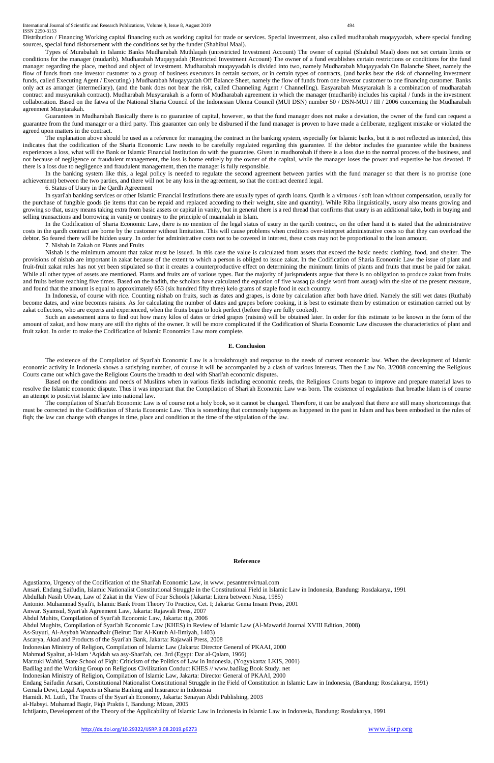International Journal of Scientific and Research Publications, Volume 9, Issue 8, August 2019 494 ISSN 2250-3153

Distribution / Financing Working capital financing such as working capital for trade or services. Special investment, also called mudharabah muqayyadah, where special funding sources, special fund disbursement with the conditions set by the funder (Shahibul Maal).

Types of Murabahah in Islamic Banks Mudharabah Muthlaqah (unrestricted Investment Account) The owner of capital (Shahibul Maal) does not set certain limits or conditions for the manager (mudarib). Mudharabah Muqayyadah (Restricted Investment Account) The owner of a fund establishes certain restrictions or conditions for the fund manager regarding the place, method and object of investment. Mudharabah muqayyadah is divided into two, namely Mudharabah Muqayyadah On Balanche Sheet, namely the flow of funds from one investor customer to a group of business executors in certain sectors, or in certain types of contracts, (and banks bear the risk of channeling investment funds, called Executing Agent / Executing) ) Mudharabah Muqayyadah Off Balance Sheet, namely the flow of funds from one investor customer to one financing customer. Banks only act as arranger (intermediary), (and the bank does not bear the risk, called Channeling Agent / Channelling). Easyarabah Musytarakah Is a combination of mudharabah contract and musyarakah contract). Mudharabah Musytarakah is a form of Mudharabah agreement in which the manager (mudharib) includes his capital / funds in the investment collaboration. Based on the fatwa of the National Sharia Council of the Indonesian Ulema Council (MUI DSN) number 50 / DSN-MUI / III / 2006 concerning the Mudharabah agreement Musytarakah.

In the banking system like this, a legal policy is needed to regulate the second agreement between parties with the fund manager so that there is no promise (one achievement) between the two parties, and there will not be any loss in the agreement, so that the contract deemed legal.

Guarantees in Mudharabah Basically there is no guarantee of capital, however, so that the fund manager does not make a deviation, the owner of the fund can request a guarantee from the fund manager or a third party. This guarantee can only be disbursed if the fund manager is proven to have made a deliberate, negligent mistake or violated the agreed upon matters in the contract.

The explanation above should be used as a reference for managing the contract in the banking system, especially for Islamic banks, but it is not reflected as intended, this indicates that the codification of the Sharia Economic Law needs to be carefully regulated regarding this guarantee. If the debtor includes the guarantee while the business experiences a loss, what will the Bank or Islamic Financial Institution do with the guarantee. Given in mudhorobah if there is a loss due to the normal process of the business, and not because of negligence or fraudulent management, the loss is borne entirely by the owner of the capital, while the manager loses the power and expertise he has devoted. If there is a loss due to negligence and fraudulent management, then the manager is fully responsible.

6. Status of Usury in the Qardh Agreement

In syari'ah banking services or other Islamic Financial Institutions there are usually types of qardh loans. Qardh is a virtuous / soft loan without compensation, usually for the purchase of fungible goods (ie items that can be repaid and replaced according to their weight, size and quantity). While Riba linguistically, usury also means growing and growing so that, usury means taking extra from basic assets or capital in vanity, but in general there is a red thread that confirms that usury is an additional take, both in buying and selling transactions and borrowing in vanity or contrary to the principle of muamalah in Islam.

In the Codification of Sharia Economic Law, there is no mention of the legal status of usury in the qardh contract, on the other hand it is stated that the administrative costs in the qardh contract are borne by the customer without limitation. This will cause problems when creditors over-interpret administrative costs so that they can overload the debtor. So feared there will be hidden usury. In order for administrative costs not to be covered in interest, these costs may not be proportional to the loan amount.

7. Nishab in Zakah on Plants and Fruits

Nishab is the minimum amount that zakat must be issued. In this case the value is calculated from assets that exceed the basic needs: clothing, food, and shelter. The provisions of nishab are important in zakat because of the extent to which a person is obliged to issue zakat. In the Codification of Sharia Economic Law the issue of plant and fruit-fruit zakat rules has not yet been stipulated so that it creates a counterproductive effect on determining the minimum limits of plants and fruits that must be paid for zakat. While all other types of assets are mentioned. Plants and fruits are of various types. But the majority of jurisprudents argue that there is no obligation to produce zakat from fruits and fruits before reaching five times. Based on the hadith, the scholars have calculated the equation of five wasaq (a single word from ausaq) with the size of the present measure, and found that the amount is equal to approximately 653 (six hundred fifty three) kelo grams of staple food in each country.

In Indonesia, of course with rice. Counting nishab on fruits, such as dates and grapes, is done by calculation after both have dried. Namely the still wet dates (Ruthab) become dates, and wine becomes raisins. As for calculating the number of dates and grapes before cooking, it is best to estimate them by estimation or estimation carried out by zakat collectors, who are experts and experienced, when the fruits begin to look perfect (before they are fully cooked).

Such an assessment aims to find out how many kilos of dates or dried grapes (raisins) will be obtained later. In order for this estimate to be known in the form of the amount of zakat, and how many are still the rights of the owner. It will be more complicated if the Codification of Sharia Economic Law discusses the characteristics of plant and fruit zakat. In order to make the Codification of Islamic Economics Law more complete.

#### **E. Conclusion**

The existence of the Compilation of Syari'ah Economic Law is a breakthrough and response to the needs of current economic law. When the development of Islamic economic activity in Indonesia shows a satisfying number, of course it will be accompanied by a clash of various interests. Then the Law No. 3/2008 concerning the Religious Courts came out which gave the Religious Courts the breadth to deal with Shari'ah economic disputes.

Based on the conditions and needs of Muslims when in various fields including economic needs, the Religious Courts began to improve and prepare material laws to resolve the Islamic economic dispute. Thus it was important that the Compilation of Shari'ah Economic Law was born. The existence of regulations that breathe Islam is of course an attempt to positivist Islamic law into national law.

The compilation of Shari'ah Economic Law is of course not a holy book, so it cannot be changed. Therefore, it can be analyzed that there are still many shortcomings that must be corrected in the Codification of Sharia Economic Law. This is something that commonly happens as happened in the past in Islam and has been embodied in the rules of fiqh; the law can change with changes in time, place and condition at the time of the stipulation of the law.

#### **Reference**

Agustianto, Urgency of the Codification of the Shari'ah Economic Law, in www. pesantrenvirtual.com Ansari. Endang Saifudin, Islamic Nationalist Constitutional Struggle in the Constitutional Field in Islamic Law in Indonesia, Bandung: Rosdakarya, 1991 Abdullah Nasih Ulwan, Law of Zakat in the View of Four Schools (Jakarta: Litera between Nusa, 1985) Antonio. Muhammad Syafi'i, Islamic Bank From Theory To Practice, Cet. I; Jakarta: Gema Insani Press, 2001 Anwar. Syamsul, Syari'ah Agreement Law, Jakarta: Rajawali Press, 2007 Abdul Muhits, Compilation of Syari'ah Economic Law, Jakarta: tt.p, 2006 Abdul Mughits, Compilation of Syari'ah Economic Law (KHES) in Review of Islamic Law (Al-Mawarid Journal XVIII Edition, 2008) As-Suyuti, Al-Asybah Wannadhair (Beirut: Dar Al-Kutub Al-Ilmiyah, 1403) Ascarya, Akad and Products of the Syari'ah Bank, Jakarta: Rajawali Press, 2008 Indonesian Ministry of Religion, Compilation of Islamic Law (Jakarta: Director General of PKAAI, 2000 Mahmud Syaltut, al-Islam 'Aqidah wa asy-Shari'ah, cet. 3rd (Egypt: Dar al-Qalam, 1966) Marzuki Wahid, State School of Fiqh: Criticism of the Politics of Law in Indonesia, (Yogyakarta: LKIS, 2001) Badilag and the Working Group on Religious Civilization Conduct KHES // www.badilag Book Study. net Indonesian Ministry of Religion, Compilation of Islamic Law, Jakarta: Director General of PKAAI, 2000 Endang Saifudin Ansari, Constitutional Nationalist Constitutional Struggle in the Field of Constitution in Islamic Law in Indonesia, (Bandung: Rosdakarya, 1991) Gemala Dewi, Legal Aspects in Sharia Banking and Insurance in Indonesia Hamidi. M. Lutfi, The Traces of the Syari'ah Economy, Jakarta: Senayan Abdi Publishing, 2003 al-Habsyi. Muhamad Bagir, Fiqh Praktis I, Bandung: Mizan, 2005 Ichtijanto, Development of the Theory of the Applicability of Islamic Law in Indonesia in Islamic Law in Indonesia, Bandung: Rosdakarya, 1991